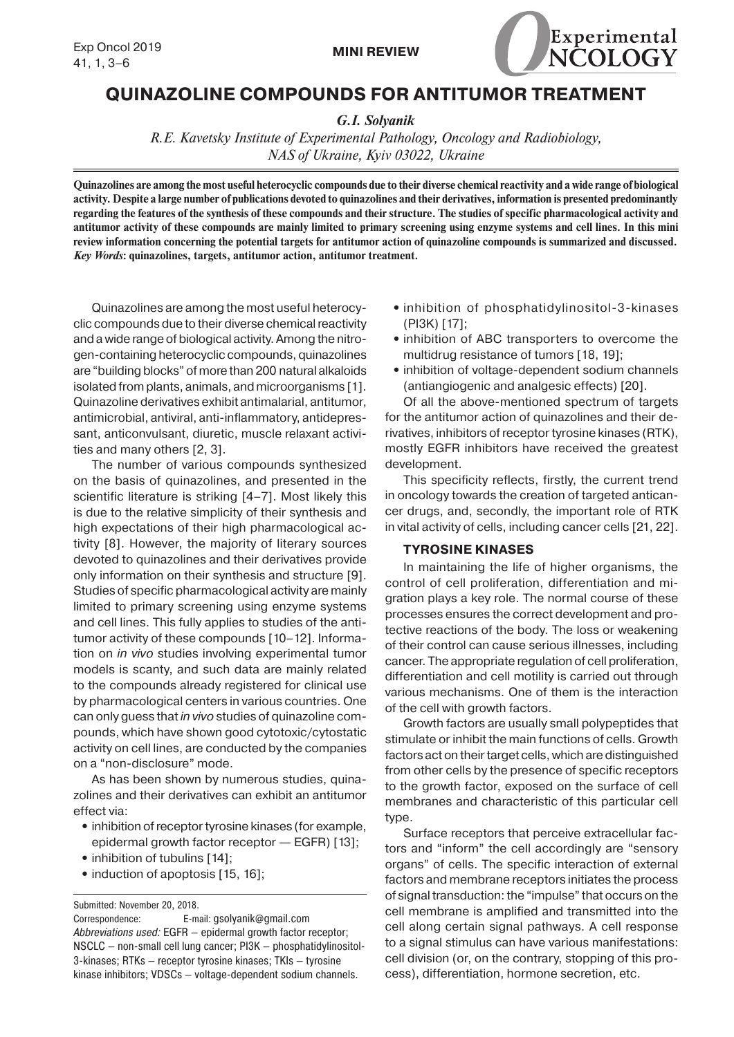

# **QUINAZOLINE COMPOUNDS FOR ANTITUMOR TREATMENT**

*G.I. Solyanik*

*R.E. Kavetsky Institute of Experimental Pathology, Oncology and Radiobiology, NAS of Ukraine, Kyiv 03022, Ukraine*

**Quinazolines are among the most useful heterocyclic compounds due to their diverse chemical reactivity and a wide range of biological activity. Despite a large number of publications devoted to quinazolines and their derivatives, information is presented predominantly regarding the features of the synthesis of these compounds and their structure. The studies of specific pharmacological activity and antitumor activity of these compounds are mainly limited to primary screening using enzyme systems and cell lines. In this mini review information concerning the potential targets for antitumor action of quinazoline compounds is summarized and discussed.** *Key Words***: quinazolines, targets, antitumor action, antitumor treatment.**

Quinazolines are among the most useful heterocyclic compounds due to their diverse chemical reactivity and a wide range of biological activity. Among the nitrogen-containing heterocyclic compounds, quinazolines are "building blocks" of more than 200 natural alkaloids isolated from plants, animals, and microorganisms [1]. Quinazoline derivatives exhibit antimalarial, antitumor, antimicrobial, antiviral, anti-inflammatory, antidepressant, anticonvulsant, diuretic, muscle relaxant activities and many others [2, 3].

The number of various compounds synthesized on the basis of quinazolines, and presented in the scientific literature is striking [4–7]. Most likely this is due to the relative simplicity of their synthesis and high expectations of their high pharmacological activity [8]. However, the majority of literary sources devoted to quinazolines and their derivatives provide only information on their synthesis and structure [9]. Studies of specific pharmacological activity are mainly limited to primary screening using enzyme systems and cell lines. This fully applies to studies of the antitumor activity of these compounds [10–12]. Information on *in vivo* studies involving experimental tumor models is scanty, and such data are mainly related to the compounds already registered for clinical use by pharmacological centers in various countries. One can only guess that *in vivo* studies of quinazoline compounds, which have shown good cytotoxic/cytostatic activity on cell lines, are conducted by the companies on a "non-disclosure" mode.

As has been shown by numerous studies, quinazolines and their derivatives can exhibit an antitumor effect via:

- **•** inhibition of receptor tyrosine kinases (for example, epidermal growth factor receptor — EGFR) [13];
- inhibition of tubulins [14];
- induction of apoptosis [15, 16];

Submitted: November 20, 2018.

Correspondence: E-mail: gsolyanik@gmail.com *Abbreviations used:* EGFR — epidermal growth factor receptor; NSCLC — non-small cell lung cancer; PI3K — phosphatidylinositol-3-kinases; RTKs — receptor tyrosine kinases; TKIs — tyrosine kinase inhibitors; VDSCs — voltage-dependent sodium channels.

- **•** inhibition of phosphatidylinositol-3-kinases (PI3K) [17];
- inhibition of ABC transporters to overcome the multidrug resistance of tumors [18, 19];
- **•** inhibition of voltage-dependent sodium channels (antiangiogenic and analgesic effects) [20].

Of all the above-mentioned spectrum of targets for the antitumor action of quinazolines and their derivatives, inhibitors of receptor tyrosine kinases (RTK), mostly EGFR inhibitors have received the greatest development.

This specificity reflects, firstly, the current trend in oncology towards the creation of targeted anticancer drugs, and, secondly, the important role of RTK in vital activity of cells, including cancer cells [21, 22].

# **TYROSINE KINASES**

In maintaining the life of higher organisms, the control of cell proliferation, differentiation and migration plays a key role. The normal course of these processes ensures the correct development and protective reactions of the body. The loss or weakening of their control can cause serious illnesses, including cancer. The appropriate regulation of cell proliferation, differentiation and cell motility is carried out through various mechanisms. One of them is the interaction of the cell with growth factors.

Growth factors are usually small polypeptides that stimulate or inhibit the main functions of cells. Growth factors act on their target cells, which are distinguished from other cells by the presence of specific receptors to the growth factor, exposed on the surface of cell membranes and characteristic of this particular cell type.

Surface receptors that perceive extracellular factors and "inform" the cell accordingly are "sensory organs" of cells. The specific interaction of external factors and membrane receptors initiates the process of signal transduction: the "impulse" that occurs on the cell membrane is amplified and transmitted into the cell along certain signal pathways. A cell response to a signal stimulus can have various manifestations: cell division (or, on the contrary, stopping of this process), differentiation, hormone secretion, etc.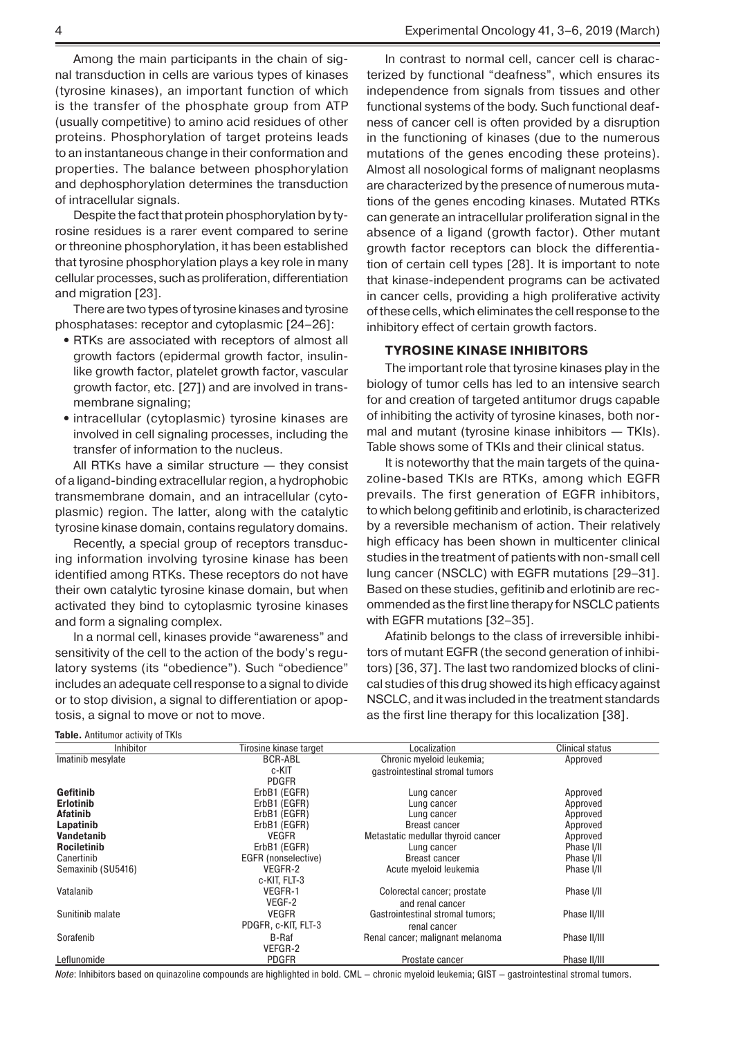Among the main participants in the chain of signal transduction in cells are various types of kinases (tyrosine kinases), an important function of which is the transfer of the phosphate group from ATP (usually competitive) to amino acid residues of other proteins. Phosphorylation of target proteins leads to an instantaneous change in their conformation and properties. The balance between phosphorylation and dephosphorylation determines the transduction of intracellular signals.

Despite the fact that protein phosphorylation by tyrosine residues is a rarer event compared to serine or threonine phosphorylation, it has been established that tyrosine phosphorylation plays a key role in many cellular processes, such as proliferation, differentiation and migration [23].

There are two types of tyrosine kinases and tyrosine phosphatases: receptor and cytoplasmic [24–26]:

- RTKs are associated with receptors of almost all growth factors (epidermal growth factor, insulinlike growth factor, platelet growth factor, vascular growth factor, etc. [27]) and are involved in transmembrane signaling;
- intracellular (cytoplasmic) tyrosine kinases are involved in cell signaling processes, including the transfer of information to the nucleus.

All RTKs have a similar structure — they consist of a ligand-binding extracellular region, a hydrophobic transmembrane domain, and an intracellular (cytoplasmic) region. The latter, along with the catalytic tyrosine kinase domain, contains regulatory domains.

Recently, a special group of receptors transducing information involving tyrosine kinase has been identified among RTKs. These receptors do not have their own catalytic tyrosine kinase domain, but when activated they bind to cytoplasmic tyrosine kinases and form a signaling complex.

In a normal cell, kinases provide "awareness" and sensitivity of the cell to the action of the body's regulatory systems (its "obedience"). Such "obedience" includes an adequate cell response to a signal to divide or to stop division, a signal to differentiation or apoptosis, a signal to move or not to move.

In contrast to normal cell, cancer cell is characterized by functional "deafness", which ensures its independence from signals from tissues and other functional systems of the body. Such functional deafness of cancer cell is often provided by a disruption in the functioning of kinases (due to the numerous mutations of the genes encoding these proteins). Almost all nosological forms of malignant neoplasms are characterized by the presence of numerous mutations of the genes encoding kinases. Mutated RTKs can generate an intracellular proliferation signal in the absence of a ligand (growth factor). Other mutant growth factor receptors can block the differentiation of certain cell types [28]. It is important to note that kinase-independent programs can be activated in cancer cells, providing a high proliferative activity of these cells, which eliminates the cell response to the inhibitory effect of certain growth factors.

### **TYROSINE KINASE INHIBITORS**

The important role that tyrosine kinases play in the biology of tumor cells has led to an intensive search for and creation of targeted antitumor drugs capable of inhibiting the activity of tyrosine kinases, both normal and mutant (tyrosine kinase inhibitors — TKIs). Table shows some of TKIs and their clinical status.

It is noteworthy that the main targets of the quinazoline-based TKIs are RTKs, among which EGFR prevails. The first generation of EGFR inhibitors, to which belong gefitinib and erlotinib, is characterized by a reversible mechanism of action. Their relatively high efficacy has been shown in multicenter clinical studies in the treatment of patients with non-small cell lung cancer (NSCLC) with EGFR mutations [29–31]. Based on these studies, gefitinib and erlotinib are recommended as the first line therapy for NSCLC patients with EGFR mutations [32–35].

Afatinib belongs to the class of irreversible inhibitors of mutant EGFR (the second generation of inhibitors) [36, 37]. The last two randomized blocks of clinical studies of this drug showed its high efficacy against NSCLC, and it was included in the treatment standards as the first line therapy for this localization [38].

| <b>Inhibitor</b>   | Tirosine kinase target | Localization                       | <b>Clinical status</b> |
|--------------------|------------------------|------------------------------------|------------------------|
| Imatinib mesylate  | <b>BCR-ABL</b>         | Chronic myeloid leukemia;          | Approved               |
|                    | c-KIT                  | gastrointestinal stromal tumors    |                        |
|                    | <b>PDGFR</b>           |                                    |                        |
| Gefitinib          | ErbB1 (EGFR)           | Lung cancer                        | Approved               |
| <b>Erlotinib</b>   | ErbB1 (EGFR)           | Lung cancer                        | Approved               |
| Afatinib           | ErbB1 (EGFR)           | Lung cancer                        | Approved               |
| Lapatinib          | ErbB1 (EGFR)           | <b>Breast cancer</b>               | Approved               |
| Vandetanib         | <b>VEGFR</b>           | Metastatic medullar thyroid cancer | Approved               |
| <b>Rociletinib</b> | ErbB1 (EGFR)           | Lung cancer                        | Phase I/II             |
| Canertinib         | EGFR (nonselective)    | <b>Breast cancer</b>               | Phase I/II             |
| Semaxinib (SU5416) | VEGFR-2                | Acute myeloid leukemia             | Phase I/II             |
|                    | c-KIT, FLT-3           |                                    |                        |
| Vatalanib          | VEGFR-1                | Colorectal cancer; prostate        | Phase I/II             |
|                    | VEGF-2                 | and renal cancer                   |                        |
| Sunitinib malate   | <b>VEGFR</b>           | Gastrointestinal stromal tumors;   | Phase II/III           |
|                    | PDGFR, c-KIT, FLT-3    | renal cancer                       |                        |
| Sorafenib          | B-Raf                  | Renal cancer; malignant melanoma   | Phase II/III           |
|                    | VEFGR-2                |                                    |                        |
| Leflunomide        | <b>PDGFR</b>           | Prostate cancer                    | Phase II/III           |

**Table.** Antitumor activity of TKIs

*Note*: Inhibitors based on quinazoline compounds are highlighted in bold. CML – chronic myeloid leukemia; GIST – gastrointestinal stromal tumors.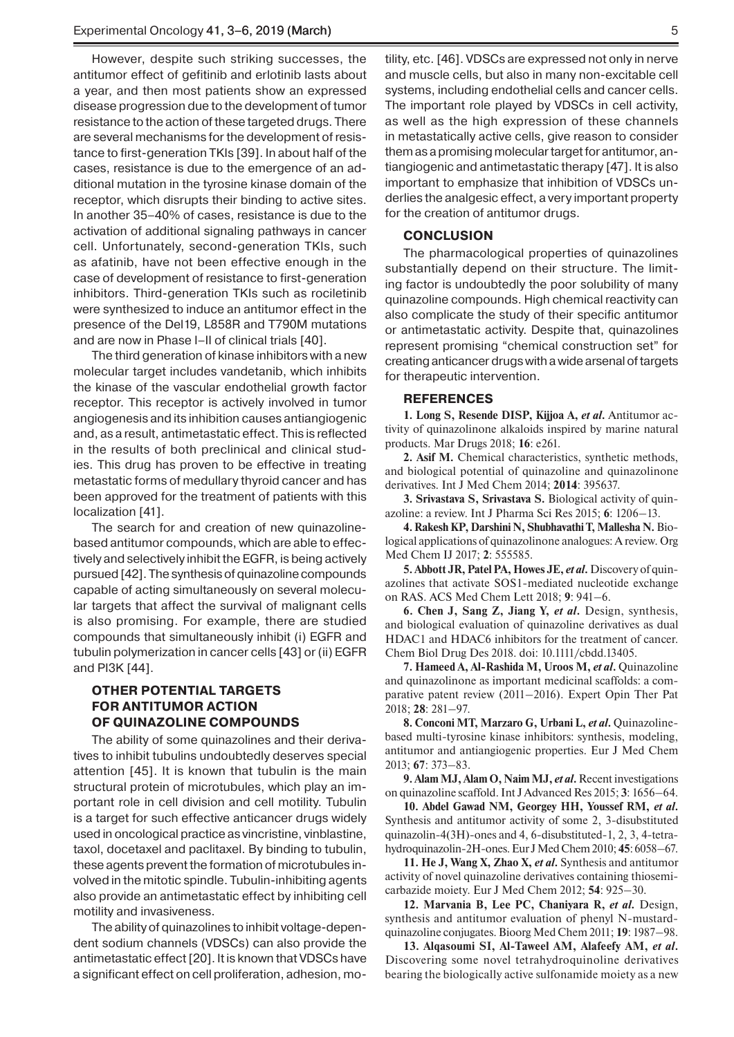However, despite such striking successes, the antitumor effect of gefitinib and erlotinib lasts about a year, and then most patients show an expressed disease progression due to the development of tumor resistance to the action of these targeted drugs. There are several mechanisms for the development of resistance to first-generation TKIs [39]. In about half of the cases, resistance is due to the emergence of an additional mutation in the tyrosine kinase domain of the receptor, which disrupts their binding to active sites. In another 35–40% of cases, resistance is due to the activation of additional signaling pathways in cancer cell. Unfortunately, second-generation TKIs, such as afatinib, have not been effective enough in the case of development of resistance to first-generation inhibitors. Third-generation TKIs such as rociletinib were synthesized to induce an antitumor effect in the presence of the Del19, L858R and T790M mutations and are now in Phase I–II of clinical trials [40].

The third generation of kinase inhibitors with a new molecular target includes vandetanib, which inhibits the kinase of the vascular endothelial growth factor receptor. This receptor is actively involved in tumor angiogenesis and its inhibition causes antiangiogenic and, as a result, antimetastatic effect. This is reflected in the results of both preclinical and clinical studies. This drug has proven to be effective in treating metastatic forms of medullary thyroid cancer and has been approved for the treatment of patients with this localization [41].

The search for and creation of new quinazolinebased antitumor compounds, which are able to effectively and selectively inhibit the EGFR, is being actively pursued [42]. The synthesis of quinazoline compounds capable of acting simultaneously on several molecular targets that affect the survival of malignant cells is also promising. For example, there are studied compounds that simultaneously inhibit (i) EGFR and tubulin polymerization in cancer cells [43] or (ii) EGFR and PI3K [44].

## **OTHER POTENTIAL TARGETS FOR ANTITUMOR ACTION OF QUINAZOLINE COMPOUNDS**

The ability of some quinazolines and their derivatives to inhibit tubulins undoubtedly deserves special attention [45]. It is known that tubulin is the main structural protein of microtubules, which play an important role in cell division and cell motility. Tubulin is a target for such effective anticancer drugs widely used in oncological practice as vincristine, vinblastine, taxol, docetaxel and paclitaxel. By binding to tubulin, these agents prevent the formation of microtubules involved in the mitotic spindle. Tubulin-inhibiting agents also provide an antimetastatic effect by inhibiting cell motility and invasiveness.

The ability of quinazolines to inhibit voltage-dependent sodium channels (VDSCs) can also provide the antimetastatic effect [20]. It is known that VDSCs have a significant effect on cell proliferation, adhesion, motility, etc. [46]. VDSCs are expressed not only in nerve and muscle cells, but also in many non-excitable cell systems, including endothelial cells and cancer cells. The important role played by VDSCs in cell activity, as well as the high expression of these channels in metastatically active cells, give reason to consider them as a promising molecular target for antitumor, antiangiogenic and antimetastatic therapy [47]. It is also important to emphasize that inhibition of VDSCs underlies the analgesic effect, a very important property for the creation of antitumor drugs.

#### **CONCLUSION**

The pharmacological properties of quinazolines substantially depend on their structure. The limiting factor is undoubtedly the poor solubility of many quinazoline compounds. High chemical reactivity can also complicate the study of their specific antitumor or antimetastatic activity. Despite that, quinazolines represent promising "chemical construction set" for creating anticancer drugs with a wide arsenal of targets for therapeutic intervention.

### **REFERENCES**

**1. Long S, Resende DISP, Kijjoa A,** *et al***.** Antitumor activity of quinazolinone alkaloids inspired by marine natural products. Mar Drugs 2018; **16**: e261.

**2. Asif M.** Chemical сharacteristics, synthetic methods, and biological potential of quinazoline and quinazolinone derivatives. Int J Med Chem 2014; **2014**: 395637.

**3. Srivastava S, Srivastava S.** Biological activity of quinazoline: a review. Int J Pharma Sci Res 2015; **6**: 1206–13.

**4. Rakesh KP, Darshini N, Shubhavathi T, Mallesha N.** Biological applications of quinazolinone analogues: A review. Org Med Chem IJ 2017; **2**: 555585.

**5. Abbott JR, Patel PA, Howes JE,** *et al***.** Discovery of quinazolines that activate SOS1-mediated nucleotide exchange on RAS. ACS Med Chem Lett 2018; **9**: 941–6.

**6. Chen J, Sang Z, Jiang Y,** *et al***.** Design, synthesis, and biological evaluation of quinazoline derivatives as dual HDAC1 and HDAC6 inhibitors for the treatment of cancer. Chem Biol Drug Des 2018. doi: 10.1111/cbdd.13405.

**7. Hameed A, Al-Rashida M, Uroos M,** *et al***.** Quinazoline and quinazolinone as important medicinal scaffolds: a comparative patent review (2011–2016). Expert Opin Ther Pat 2018; **28**: 281–97.

**8. Conconi MT, Marzaro G, Urbani L,** *et al***.** Quinazolinebased multi-tyrosine kinase inhibitors: synthesis, modeling, antitumor and antiangiogenic properties. Eur J Med Chem 2013; **67**: 373–83.

**9. Alam MJ, Alam O, Naim MJ,** *et al***.** Recent investigations on quinazoline scaffold. Int J Advanced Res 2015; **3**: 1656–64.

**10. Abdel Gawad NM, Georgey HH, Youssef RM,** *et al***.** Synthesis and antitumor activity of some 2, 3-disubstituted quinazolin-4(3H)-ones and 4, 6-disubstituted-1, 2, 3, 4-tetrahydroquinazolin-2H-ones. Eur J Med Chem 2010; **45**: 6058–67.

**11. He J, Wang X, Zhao X,** *et al***.** Synthesis and antitumor activity of novel quinazoline derivatives containing thiosemicarbazide moiety. Eur J Med Chem 2012; **54**: 925–30.

**12. Marvania B, Lee PC, Chaniyara R,** *et al.* Design, synthesis and antitumor evaluation of phenyl N-mustardquinazoline conjugates. Bioorg Med Chem 2011; **19**: 1987–98.

**13. Alqasoumi SI, Al-Taweel AM, Alafeefy AM,** *et al***.** Discovering some novel tetrahydroquinoline derivatives bearing the biologically active sulfonamide moiety as a new